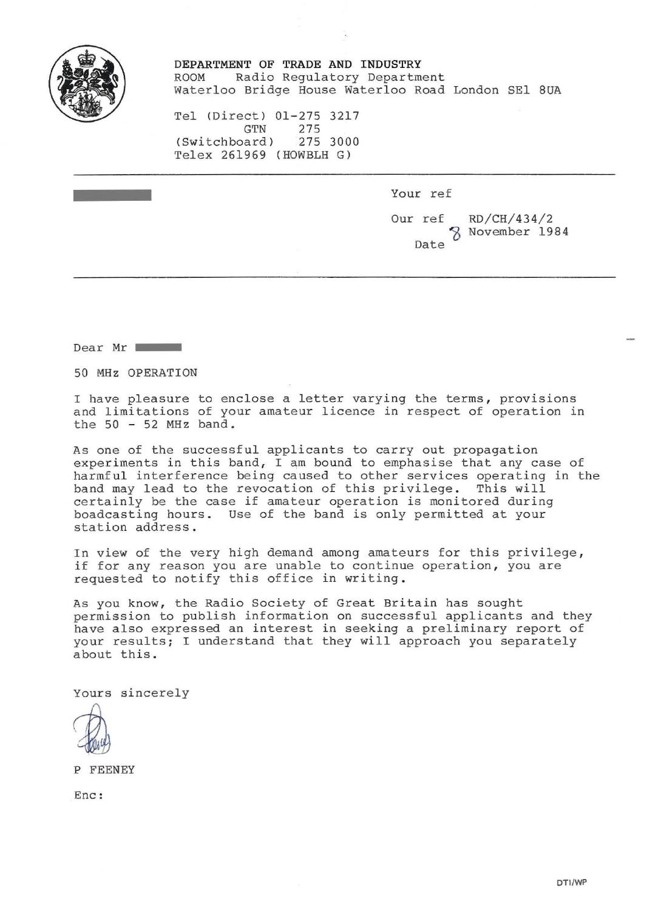

DEPARTMENT OF TRADE AND INDUSTRY<br>ROOM Radio Regulatory Department Radio Regulatory Department Waterloo Bridge House Waterloo Road London SEl 8UA

Tel (Direct) 01-275 3217<br>GTN 275 GTN 275<br>ard) 275 3000 (Switchboard) Telex 261969 (HOWBLH G)

Your ref

Our ref Date RD/CH/434/2 November 1984

Dear Mr

50 MHz OPERATION

I have pleasure to enclose a letter varying the terms, provisions and limitations of your amateur licence in respect of operation in the  $50 - 52$  MHz band.

As one of the successful applicants to carry out propagation experiments in this band, I am bound to emphasise that any case of harmful interference being caused to other services operating in the band may lead to the revocation of this privilege. This will certainly be the case if amateur operation is monitored during boadcasting hours. Use of the band is only permitted at your station address.

In view of the very high demand among amateurs for this privilege, if for any reason you are unable to continue operation, you are requested to notify this office in writing.

As you know, the Radio Society of Great Britain has sought permission to publish information on successful applicants and they have also expressed an interest in seeking a preliminary report of your results; I understand that they will approach you separately about this .

Yours sincerely



P FEENEY

Enc: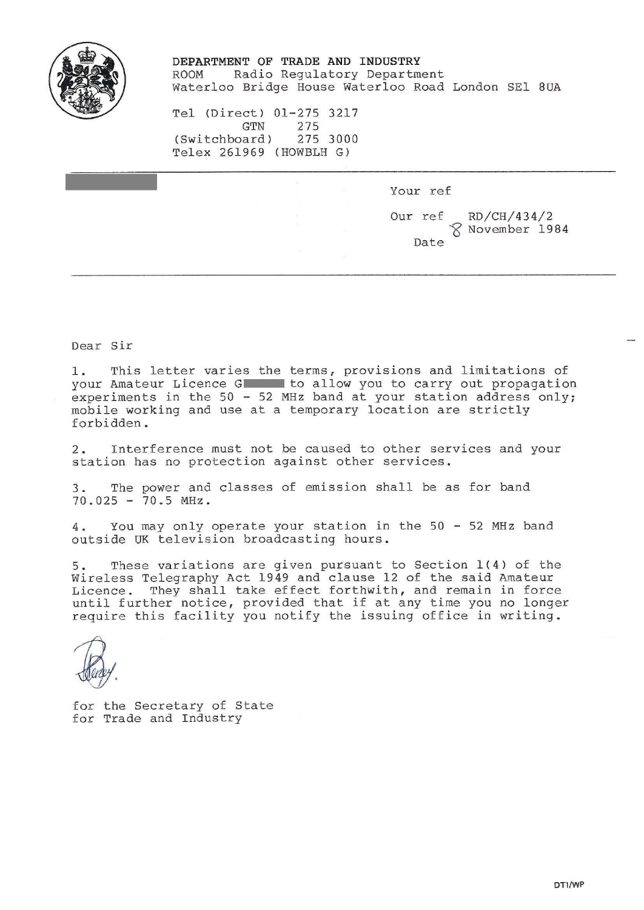

**DEPARTMENT OF TRADE AND INDUSTRY**  Radio Regulatory Department Waterloo Bridge House Waterloo Road London SEl BUA

Tel (Direct) 01-275 3217<br>GTN 275 GTN 275<br>ard) 275 3000 (Switchboard) Telex 261969 (HOWBLH G)

Your ref

Our ref RD/CH/434/2 8 November 1984 Date

Dear Sir

1. This letter varies the terms, provisions and limitations of your Amateur Licence G to allow you to carry out propagation experiments in the 50 - 52 MHz band at your station address only; mobile working and use at a temporary location are strictly forbidden.

2. Interference must not be caused to other services and your station has no protection against other services.

3. The power and classes of emission shall be as for band  $70.025 - 70.5$  MHz.

4. You may only operate your station in the 50 - 52 MHz band outside UK television broadcasting hours.

5. These variations are given pursuant to Section 1 (4) of the Wireless Telegraphy Act 1949 and clause 12 of the said Amateur Licence. They shall take effect forthwith, and remain in force until further notice, provided that if at any time you no longer require this facility you notify the issuing office in writing.

for the Secretary of State for Trade and Industry